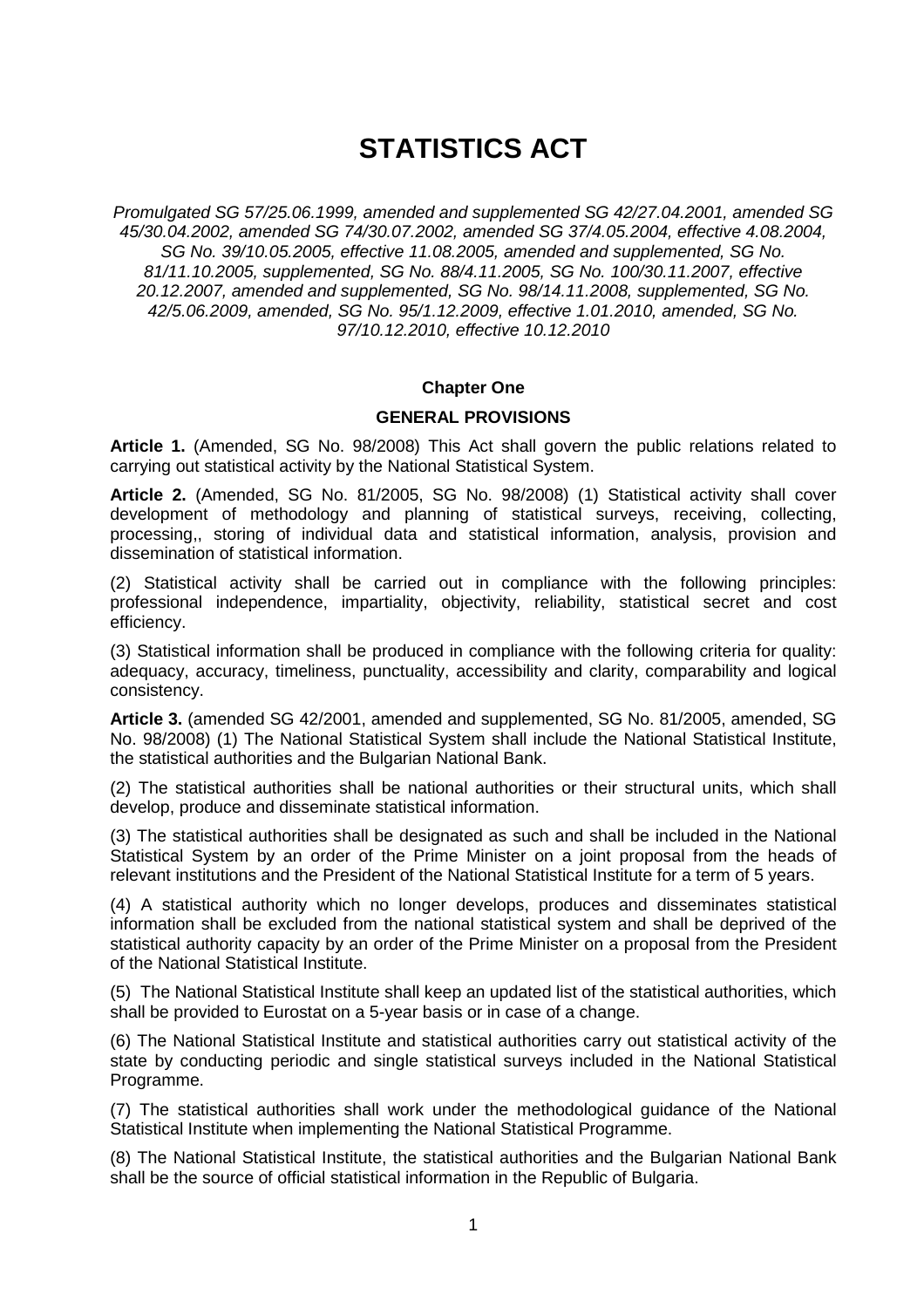# **STATISTICS ACT**

Promulgated SG 57/25.06.1999, amended and supplemented SG 42/27.04.2001, amended SG 45/30.04.2002, amended SG 74/30.07.2002, amended SG 37/4.05.2004, effective 4.08.2004, SG No. 39/10.05.2005, effective 11.08.2005, amended and supplemented, SG No. 81/11.10.2005, supplemented, SG No. 88/4.11.2005, SG No. 100/30.11.2007, effective 20.12.2007, amended and supplemented, SG No. 98/14.11.2008, supplemented, SG No. 42/5.06.2009, amended, SG No. 95/1.12.2009, effective 1.01.2010, amended, SG No. 97/10.12.2010, effective 10.12.2010

## **Chapter One**

## **GENERAL PROVISIONS**

**Article 1.** (Amended, SG No. 98/2008) This Act shall govern the public relations related to carrying out statistical activity by the National Statistical System.

**Article 2.** (Amended, SG No. 81/2005, SG No. 98/2008) (1) Statistical activity shall cover development of methodology and planning of statistical surveys, receiving, collecting, processing,, storing of individual data and statistical information, analysis, provision and dissemination of statistical information.

(2) Statistical activity shall be carried out in compliance with the following principles: professional independence, impartiality, objectivity, reliability, statistical secret and cost efficiency.

(3) Statistical information shall be produced in compliance with the following criteria for quality: adequacy, accuracy, timeliness, punctuality, accessibility and clarity, comparability and logical consistency.

**Article 3.** (amended SG 42/2001, amended and supplemented, SG No. 81/2005, amended, SG No. 98/2008) (1) The National Statistical System shall include the National Statistical Institute, the statistical authorities and the Bulgarian National Bank.

(2) The statistical authorities shall be national authorities or their structural units, which shall develop, produce and disseminate statistical information.

(3) The statistical authorities shall be designated as such and shall be included in the National Statistical System by an order of the Prime Minister on a joint proposal from the heads of relevant institutions and the President of the National Statistical Institute for a term of 5 years.

(4) A statistical authority which no longer develops, produces and disseminates statistical information shall be excluded from the national statistical system and shall be deprived of the statistical authority capacity by an order of the Prime Minister on a proposal from the President of the National Statistical Institute.

(5) The National Statistical Institute shall keep an updated list of the statistical authorities, which shall be provided to Eurostat on a 5-year basis or in case of a change.

(6) The National Statistical Institute and statistical authorities carry out statistical activity of the state by conducting periodic and single statistical surveys included in the National Statistical Programme.

(7) The statistical authorities shall work under the methodological guidance of the National Statistical Institute when implementing the National Statistical Programme.

(8) The National Statistical Institute, the statistical authorities and the Bulgarian National Bank shall be the source of official statistical information in the Republic of Bulgaria.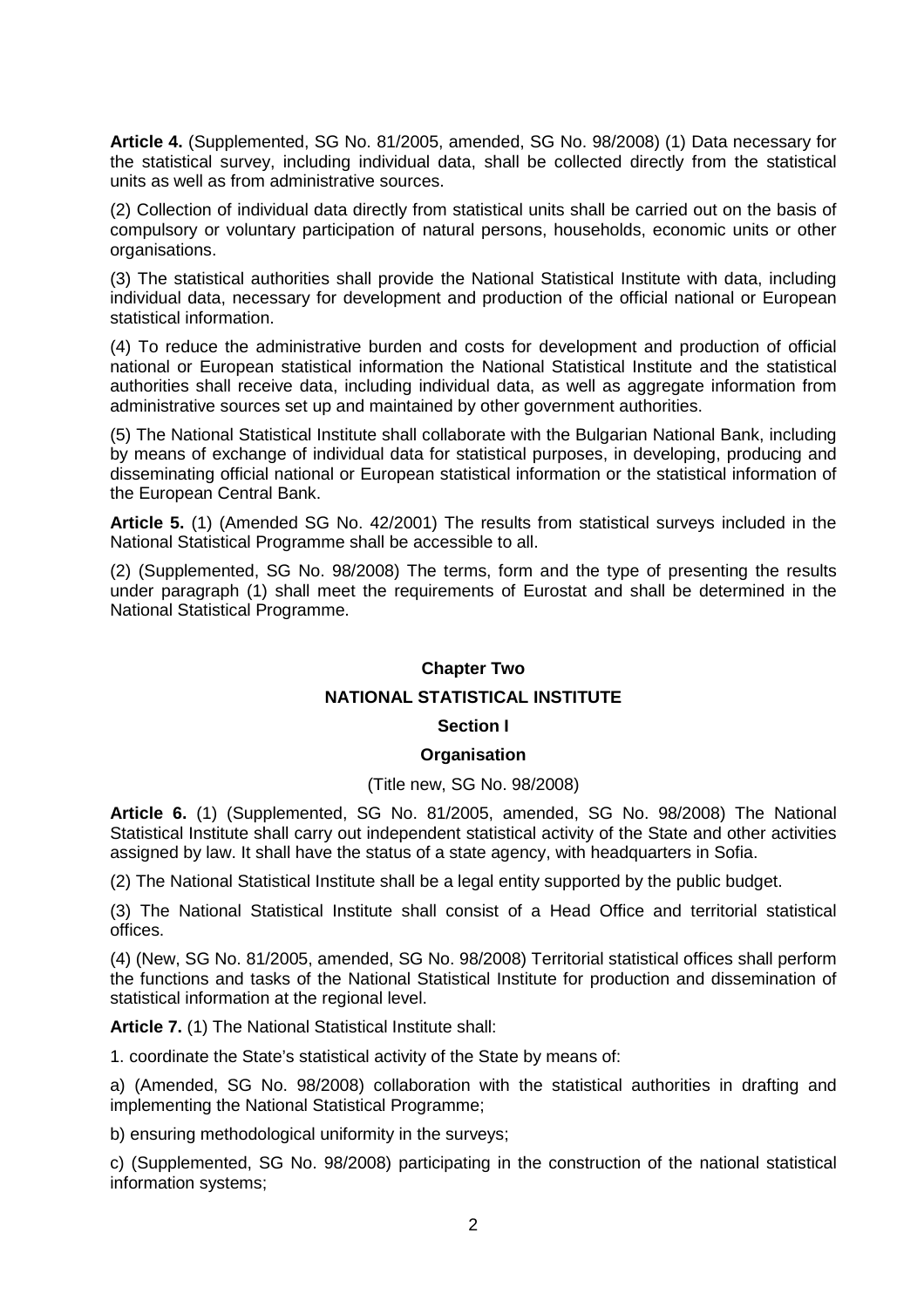**Article 4.** (Supplemented, SG No. 81/2005, amended, SG No. 98/2008) (1) Data necessary for the statistical survey, including individual data, shall be collected directly from the statistical units as well as from administrative sources.

(2) Collection of individual data directly from statistical units shall be carried out on the basis of compulsory or voluntary participation of natural persons, households, economic units or other organisations.

(3) The statistical authorities shall provide the National Statistical Institute with data, including individual data, necessary for development and production of the official national or European statistical information.

(4) To reduce the administrative burden and costs for development and production of official national or European statistical information the National Statistical Institute and the statistical authorities shall receive data, including individual data, as well as aggregate information from administrative sources set up and maintained by other government authorities.

(5) The National Statistical Institute shall collaborate with the Bulgarian National Bank, including by means of exchange of individual data for statistical purposes, in developing, producing and disseminating official national or European statistical information or the statistical information of the European Central Bank.

**Article 5.** (1) (Amended SG No. 42/2001) The results from statistical surveys included in the National Statistical Programme shall be accessible to all.

(2) (Supplemented, SG No. 98/2008) The terms, form and the type of presenting the results under paragraph (1) shall meet the requirements of Eurostat and shall be determined in the National Statistical Programme.

## **Chapter Two**

## **NATIONAL STATISTICAL INSTITUTE**

## **Section I**

## **Organisation**

## (Title new, SG No. 98/2008)

**Article 6.** (1) (Supplemented, SG No. 81/2005, amended, SG No. 98/2008) The National Statistical Institute shall carry out independent statistical activity of the State and other activities assigned by law. It shall have the status of a state agency, with headquarters in Sofia.

(2) The National Statistical Institute shall be a legal entity supported by the public budget.

(3) The National Statistical Institute shall consist of a Head Office and territorial statistical offices.

(4) (New, SG No. 81/2005, amended, SG No. 98/2008) Territorial statistical offices shall perform the functions and tasks of the National Statistical Institute for production and dissemination of statistical information at the regional level.

**Article 7.** (1) The National Statistical Institute shall:

1. coordinate the State's statistical activity of the State by means of:

a) (Amended, SG No. 98/2008) collaboration with the statistical authorities in drafting and implementing the National Statistical Programme;

b) ensuring methodological uniformity in the surveys;

c) (Supplemented, SG No. 98/2008) participating in the construction of the national statistical information systems;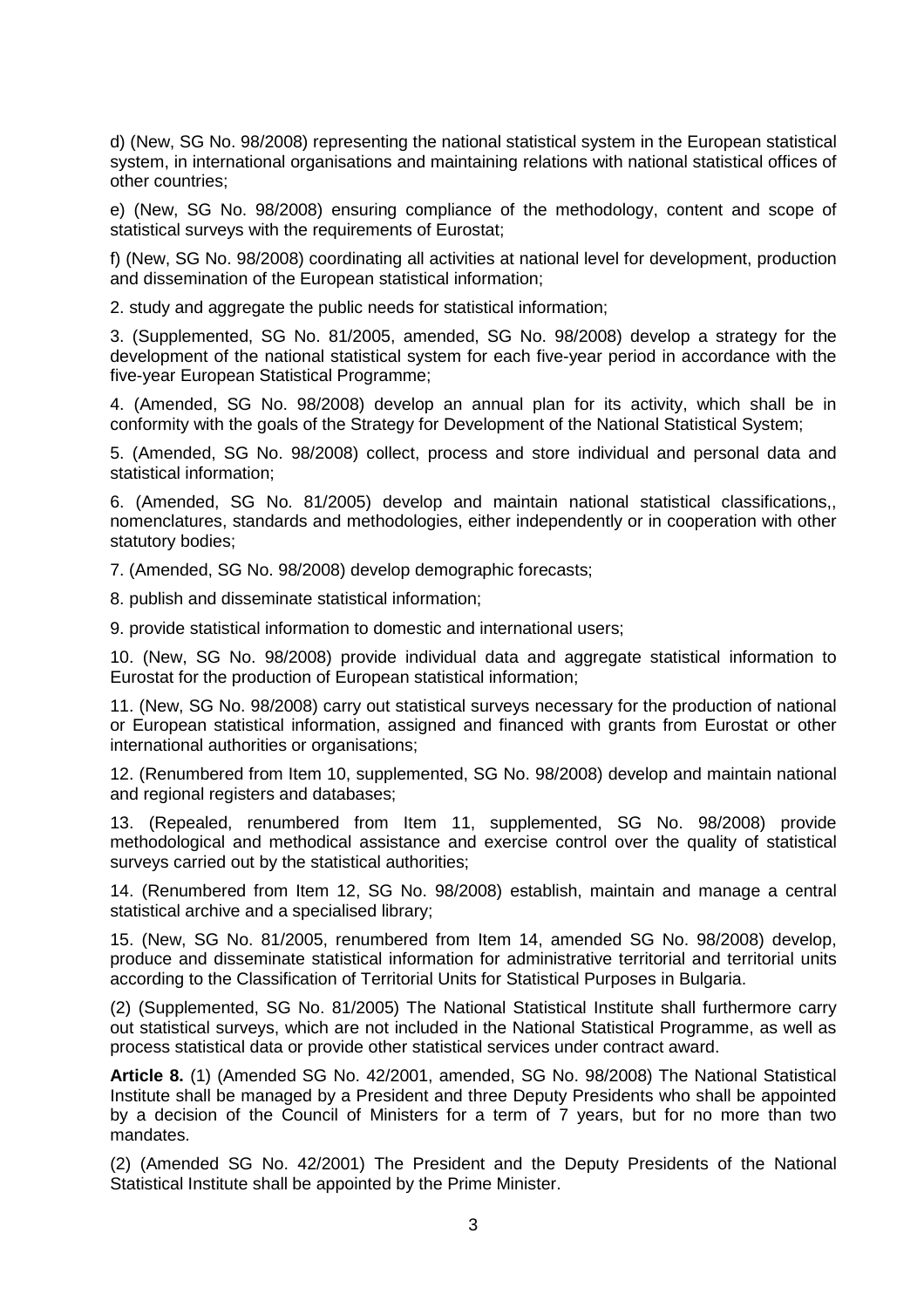d) (New, SG No. 98/2008) representing the national statistical system in the European statistical system, in international organisations and maintaining relations with national statistical offices of other countries;

e) (New, SG No. 98/2008) ensuring compliance of the methodology, content and scope of statistical surveys with the requirements of Eurostat;

f) (New, SG No. 98/2008) coordinating all activities at national level for development, production and dissemination of the European statistical information;

2. study and aggregate the public needs for statistical information;

3. (Supplemented, SG No. 81/2005, amended, SG No. 98/2008) develop a strategy for the development of the national statistical system for each five-year period in accordance with the five-year European Statistical Programme;

4. (Amended, SG No. 98/2008) develop an annual plan for its activity, which shall be in conformity with the goals of the Strategy for Development of the National Statistical System;

5. (Amended, SG No. 98/2008) collect, process and store individual and personal data and statistical information;

6. (Amended, SG No. 81/2005) develop and maintain national statistical classifications,, nomenclatures, standards and methodologies, either independently or in cooperation with other statutory bodies;

7. (Amended, SG No. 98/2008) develop demographic forecasts;

8. publish and disseminate statistical information;

9. provide statistical information to domestic and international users;

10. (New, SG No. 98/2008) provide individual data and aggregate statistical information to Eurostat for the production of European statistical information;

11. (New, SG No. 98/2008) carry out statistical surveys necessary for the production of national or European statistical information, assigned and financed with grants from Eurostat or other international authorities or organisations;

12. (Renumbered from Item 10, supplemented, SG No. 98/2008) develop and maintain national and regional registers and databases;

13. (Repealed, renumbered from Item 11, supplemented, SG No. 98/2008) provide methodological and methodical assistance and exercise control over the quality of statistical surveys carried out by the statistical authorities;

14. (Renumbered from Item 12, SG No. 98/2008) establish, maintain and manage a central statistical archive and a specialised library;

15. (New, SG No. 81/2005, renumbered from Item 14, amended SG No. 98/2008) develop, produce and disseminate statistical information for administrative territorial and territorial units according to the Classification of Territorial Units for Statistical Purposes in Bulgaria.

(2) (Supplemented, SG No. 81/2005) The National Statistical Institute shall furthermore carry out statistical surveys, which are not included in the National Statistical Programme, as well as process statistical data or provide other statistical services under contract award.

**Article 8.** (1) (Amended SG No. 42/2001, amended, SG No. 98/2008) The National Statistical Institute shall be managed by a President and three Deputy Presidents who shall be appointed by a decision of the Council of Ministers for a term of 7 years, but for no more than two mandates.

(2) (Amended SG No. 42/2001) The President and the Deputy Presidents of the National Statistical Institute shall be appointed by the Prime Minister.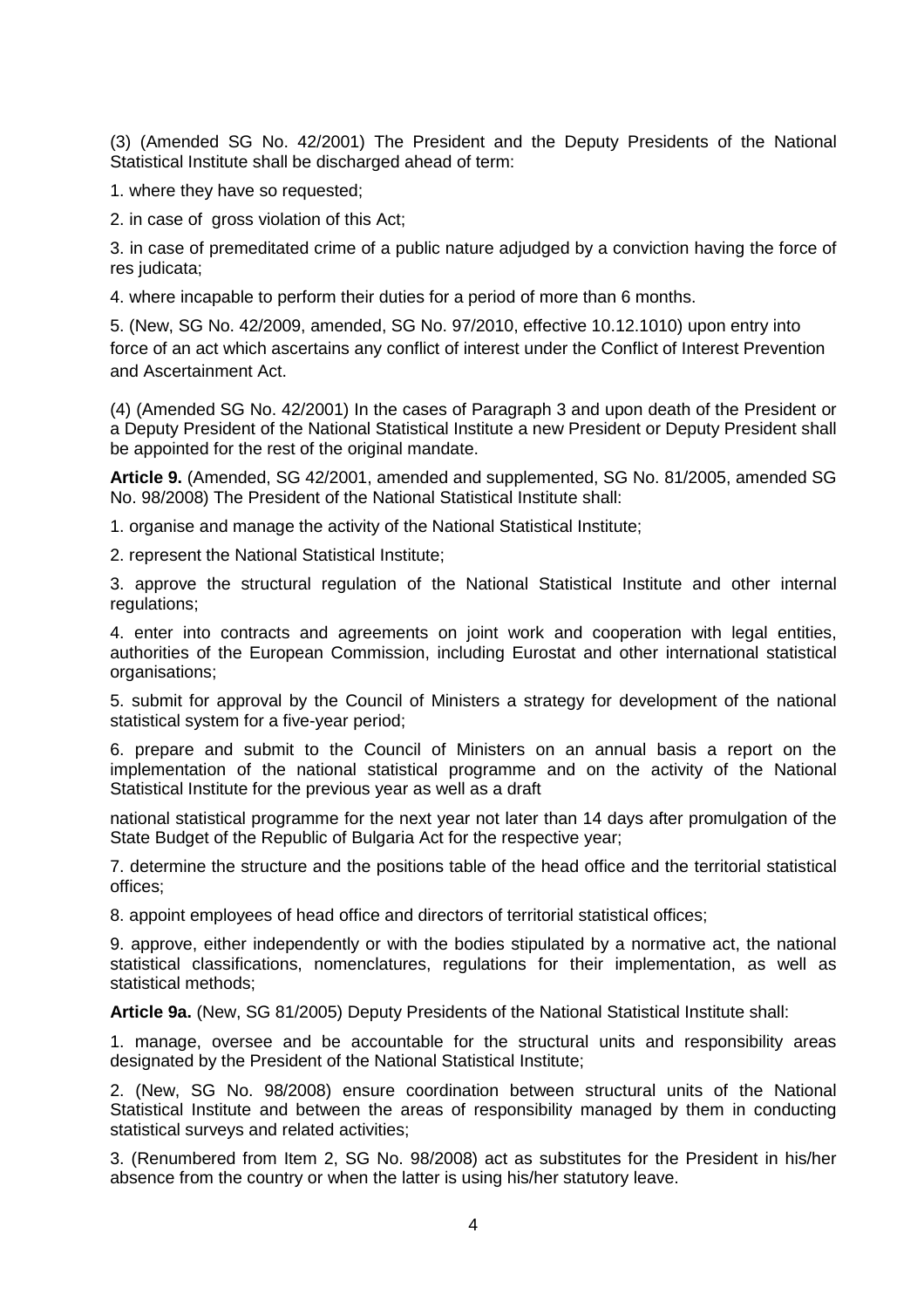(3) (Amended SG No. 42/2001) The President and the Deputy Presidents of the National Statistical Institute shall be discharged ahead of term:

1. where they have so requested;

2. in case of gross violation of this Act;

3. in case of premeditated crime of a public nature adjudged by a conviction having the force of res judicata;

4. where incapable to perform their duties for a period of more than 6 months.

5. (New, SG No. 42/2009, amended, SG No. 97/2010, effective 10.12.1010) upon entry into force of an act which ascertains any conflict of interest under the Conflict of Interest Prevention and Ascertainment Act.

(4) (Amended SG No. 42/2001) In the cases of Paragraph 3 and upon death of the President or a Deputy President of the National Statistical Institute a new President or Deputy President shall be appointed for the rest of the original mandate.

**Article 9.** (Amended, SG 42/2001, amended and supplemented, SG No. 81/2005, amended SG No. 98/2008) The President of the National Statistical Institute shall:

1. organise and manage the activity of the National Statistical Institute;

2. represent the National Statistical Institute;

3. approve the structural regulation of the National Statistical Institute and other internal regulations;

4. enter into contracts and agreements on joint work and cooperation with legal entities, authorities of the European Commission, including Eurostat and other international statistical organisations;

5. submit for approval by the Council of Ministers a strategy for development of the national statistical system for a five-year period;

6. prepare and submit to the Council of Ministers on an annual basis a report on the implementation of the national statistical programme and on the activity of the National Statistical Institute for the previous year as well as a draft

national statistical programme for the next year not later than 14 days after promulgation of the State Budget of the Republic of Bulgaria Act for the respective year;

7. determine the structure and the positions table of the head office and the territorial statistical offices;

8. appoint employees of head office and directors of territorial statistical offices;

9. approve, either independently or with the bodies stipulated by a normative act, the national statistical classifications, nomenclatures, regulations for their implementation, as well as statistical methods;

**Article 9a.** (New, SG 81/2005) Deputy Presidents of the National Statistical Institute shall:

1. manage, oversee and be accountable for the structural units and responsibility areas designated by the President of the National Statistical Institute;

2. (New, SG No. 98/2008) ensure coordination between structural units of the National Statistical Institute and between the areas of responsibility managed by them in conducting statistical surveys and related activities;

3. (Renumbered from Item 2, SG No. 98/2008) act as substitutes for the President in his/her absence from the country or when the latter is using his/her statutory leave.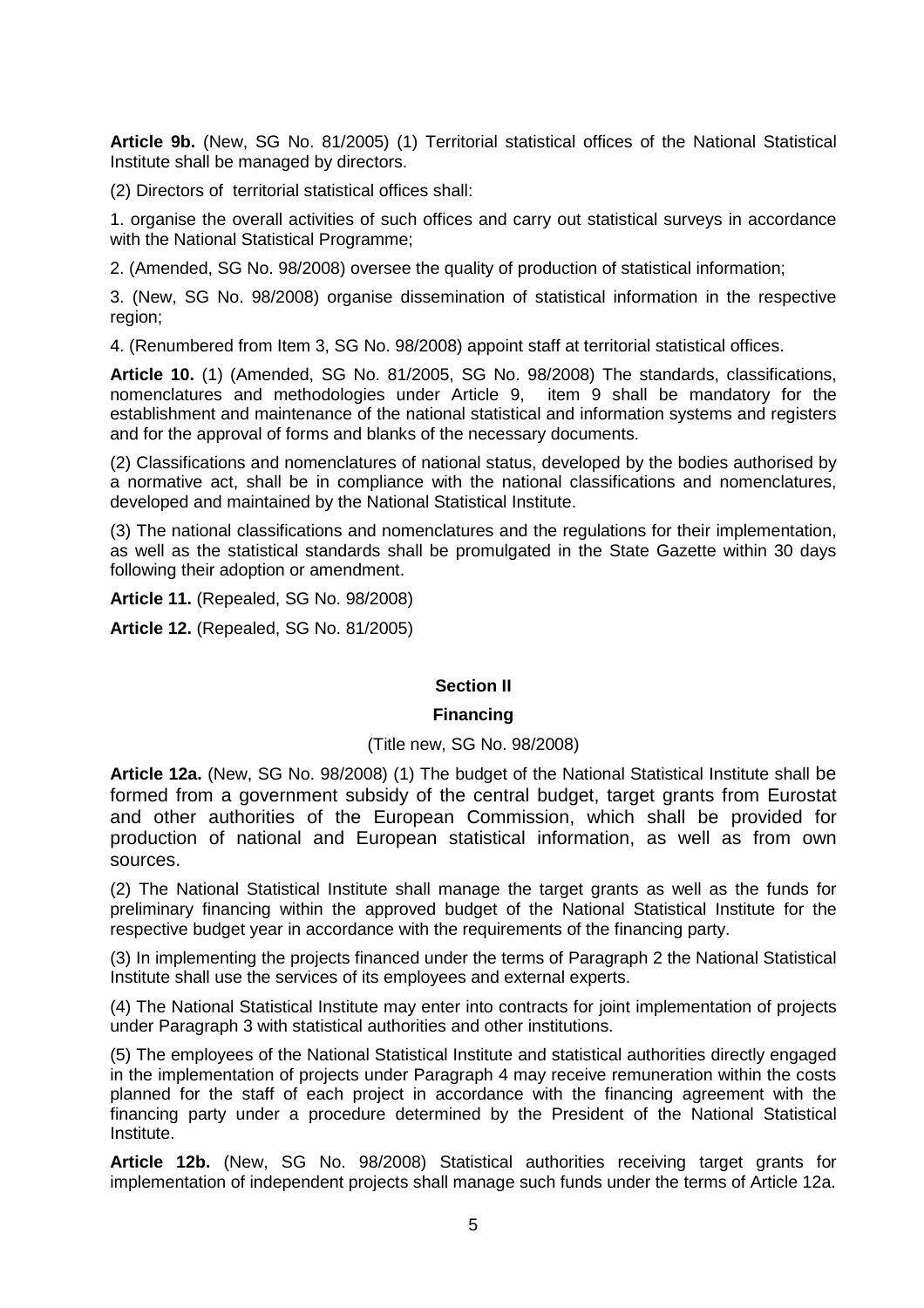**Article 9b.** (New, SG No. 81/2005) (1) Territorial statistical offices of the National Statistical Institute shall be managed by directors.

(2) Directors of territorial statistical offices shall:

1. organise the overall activities of such offices and carry out statistical surveys in accordance with the National Statistical Programme:

2. (Amended, SG No. 98/2008) oversee the quality of production of statistical information;

3. (New, SG No. 98/2008) organise dissemination of statistical information in the respective region;

4. (Renumbered from Item 3, SG No. 98/2008) appoint staff at territorial statistical offices.

**Article 10.** (1) (Amended, SG No. 81/2005, SG No. 98/2008) The standards, classifications, nomenclatures and methodologies under Article 9, item 9 shall be mandatory for the establishment and maintenance of the national statistical and information systems and registers and for the approval of forms and blanks of the necessary documents.

(2) Classifications and nomenclatures of national status, developed by the bodies authorised by a normative act, shall be in compliance with the national classifications and nomenclatures, developed and maintained by the National Statistical Institute.

(3) The national classifications and nomenclatures and the regulations for their implementation, as well as the statistical standards shall be promulgated in the State Gazette within 30 days following their adoption or amendment.

**Article 11.** (Repealed, SG No. 98/2008)

**Article 12.** (Repealed, SG No. 81/2005)

# **Section II**

## **Financing**

## (Title new, SG No. 98/2008)

**Article 12a.** (New, SG No. 98/2008) (1) The budget of the National Statistical Institute shall be formed from a government subsidy of the central budget, target grants from Eurostat and other authorities of the European Commission, which shall be provided for production of national and European statistical information, as well as from own sources.

(2) The National Statistical Institute shall manage the target grants as well as the funds for preliminary financing within the approved budget of the National Statistical Institute for the respective budget year in accordance with the requirements of the financing party.

(3) In implementing the projects financed under the terms of Paragraph 2 the National Statistical Institute shall use the services of its employees and external experts.

(4) The National Statistical Institute may enter into contracts for joint implementation of projects under Paragraph 3 with statistical authorities and other institutions.

(5) The employees of the National Statistical Institute and statistical authorities directly engaged in the implementation of projects under Paragraph 4 may receive remuneration within the costs planned for the staff of each project in accordance with the financing agreement with the financing party under a procedure determined by the President of the National Statistical Institute.

**Article 12b.** (New, SG No. 98/2008) Statistical authorities receiving target grants for implementation of independent projects shall manage such funds under the terms of Article 12a.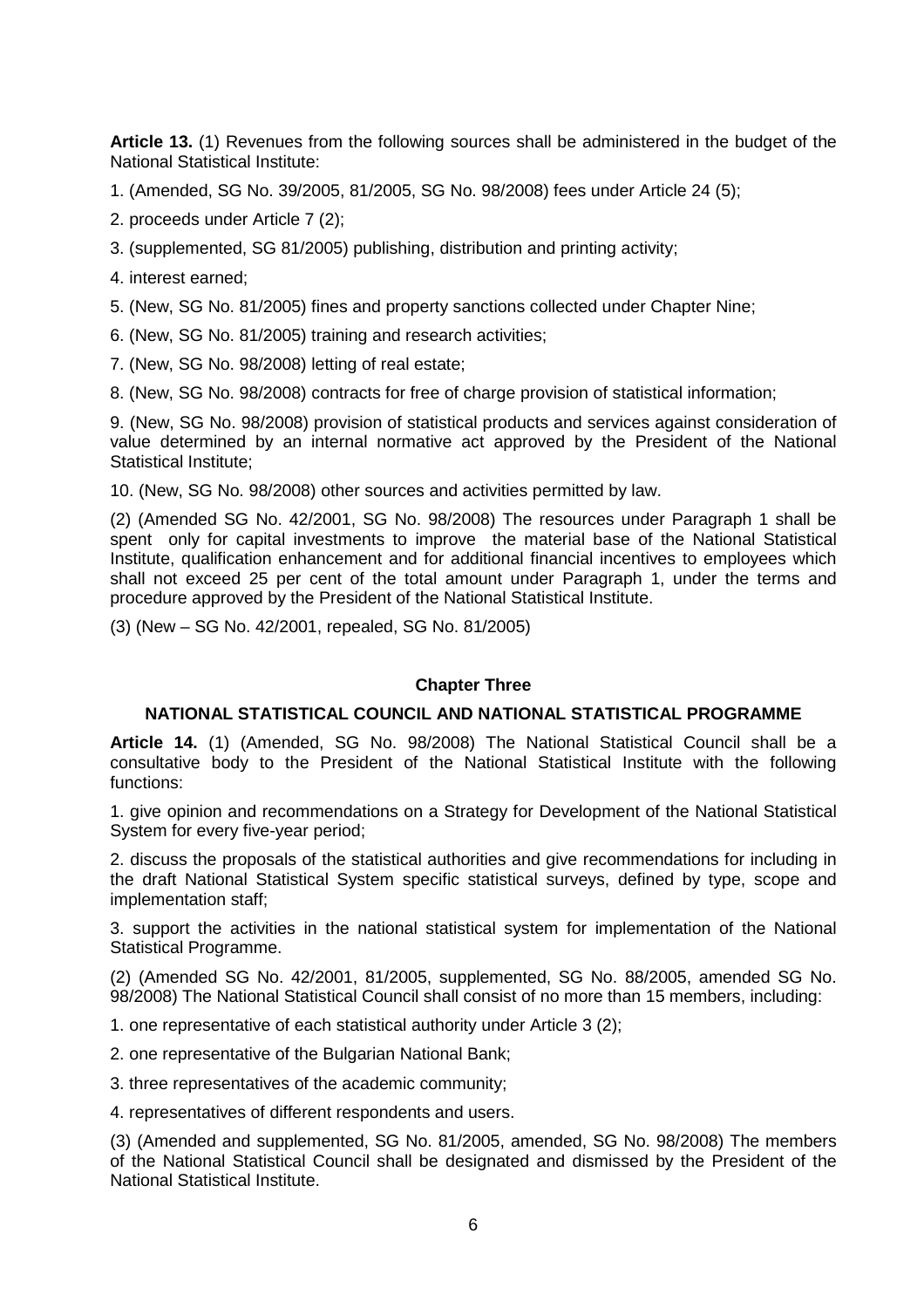**Article 13.** (1) Revenues from the following sources shall be administered in the budget of the National Statistical Institute:

1. (Amended, SG No. 39/2005, 81/2005, SG No. 98/2008) fees under Article 24 (5);

- 2. proceeds under Article 7 (2);
- 3. (supplemented, SG 81/2005) publishing, distribution and printing activity;
- 4. interest earned;
- 5. (New, SG No. 81/2005) fines and property sanctions collected under Chapter Nine;
- 6. (New, SG No. 81/2005) training and research activities;
- 7. (New, SG No. 98/2008) letting of real estate;
- 8. (New, SG No. 98/2008) contracts for free of charge provision of statistical information;

9. (New, SG No. 98/2008) provision of statistical products and services against consideration of value determined by an internal normative act approved by the President of the National Statistical Institute;

10. (New, SG No. 98/2008) other sources and activities permitted by law.

(2) (Amended SG No. 42/2001, SG No. 98/2008) The resources under Paragraph 1 shall be spent only for capital investments to improve the material base of the National Statistical Institute, qualification enhancement and for additional financial incentives to employees which shall not exceed 25 per cent of the total amount under Paragraph 1, under the terms and procedure approved by the President of the National Statistical Institute.

(3) (New – SG No. 42/2001, repealed, SG No. 81/2005)

## **Chapter Three**

## **NATIONAL STATISTICAL COUNCIL AND NATIONAL STATISTICAL PROGRAMME**

**Article 14.** (1) (Amended, SG No. 98/2008) The National Statistical Council shall be a consultative body to the President of the National Statistical Institute with the following functions:

1. give opinion and recommendations on a Strategy for Development of the National Statistical System for every five-year period;

2. discuss the proposals of the statistical authorities and give recommendations for including in the draft National Statistical System specific statistical surveys, defined by type, scope and implementation staff;

3. support the activities in the national statistical system for implementation of the National Statistical Programme.

(2) (Amended SG No. 42/2001, 81/2005, supplemented, SG No. 88/2005, amended SG No. 98/2008) The National Statistical Council shall consist of no more than 15 members, including:

1. one representative of each statistical authority under Article 3 (2);

2. one representative of the Bulgarian National Bank;

3. three representatives of the academic community;

4. representatives of different respondents and users.

(3) (Amended and supplemented, SG No. 81/2005, amended, SG No. 98/2008) The members of the National Statistical Council shall be designated and dismissed by the President of the National Statistical Institute.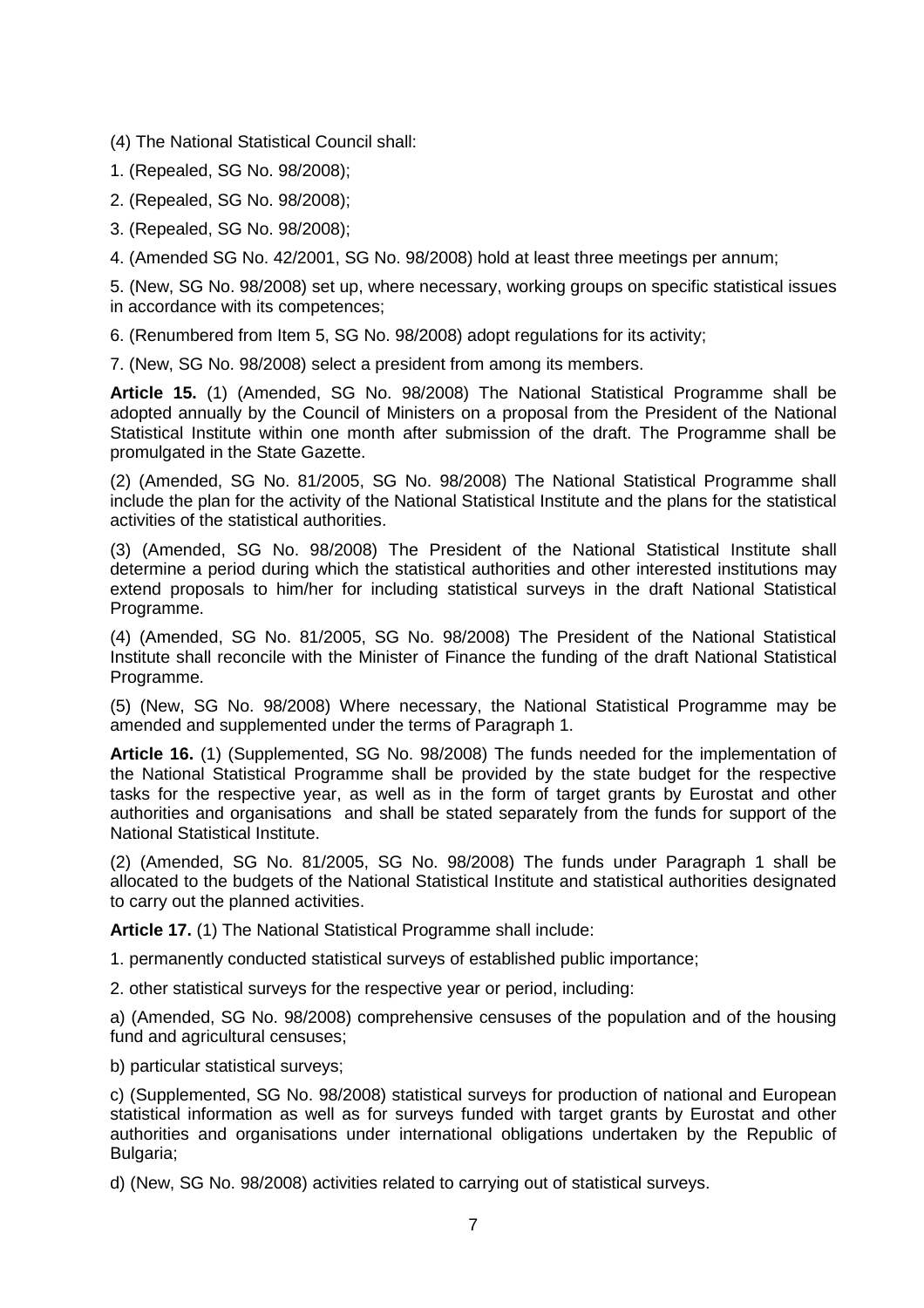(4) The National Statistical Council shall:

- 1. (Repealed, SG No. 98/2008);
- 2. (Repealed, SG No. 98/2008);
- 3. (Repealed, SG No. 98/2008);

4. (Amended SG No. 42/2001, SG No. 98/2008) hold at least three meetings per annum;

5. (New, SG No. 98/2008) set up, where necessary, working groups on specific statistical issues in accordance with its competences;

6. (Renumbered from Item 5, SG No. 98/2008) adopt regulations for its activity;

7. (New, SG No. 98/2008) select a president from among its members.

**Article 15.** (1) (Amended, SG No. 98/2008) The National Statistical Programme shall be adopted annually by the Council of Ministers on a proposal from the President of the National Statistical Institute within one month after submission of the draft. The Programme shall be promulgated in the State Gazette.

(2) (Amended, SG No. 81/2005, SG No. 98/2008) The National Statistical Programme shall include the plan for the activity of the National Statistical Institute and the plans for the statistical activities of the statistical authorities.

(3) (Amended, SG No. 98/2008) The President of the National Statistical Institute shall determine a period during which the statistical authorities and other interested institutions may extend proposals to him/her for including statistical surveys in the draft National Statistical Programme.

(4) (Amended, SG No. 81/2005, SG No. 98/2008) The President of the National Statistical Institute shall reconcile with the Minister of Finance the funding of the draft National Statistical Programme.

(5) (New, SG No. 98/2008) Where necessary, the National Statistical Programme may be amended and supplemented under the terms of Paragraph 1.

**Article 16.** (1) (Supplemented, SG No. 98/2008) The funds needed for the implementation of the National Statistical Programme shall be provided by the state budget for the respective tasks for the respective year, as well as in the form of target grants by Eurostat and other authorities and organisations and shall be stated separately from the funds for support of the National Statistical Institute.

(2) (Amended, SG No. 81/2005, SG No. 98/2008) The funds under Paragraph 1 shall be allocated to the budgets of the National Statistical Institute and statistical authorities designated to carry out the planned activities.

**Article 17.** (1) The National Statistical Programme shall include:

1. permanently conducted statistical surveys of established public importance;

2. other statistical surveys for the respective year or period, including:

a) (Amended, SG No. 98/2008) comprehensive censuses of the population and of the housing fund and agricultural censuses;

b) particular statistical surveys;

c) (Supplemented, SG No. 98/2008) statistical surveys for production of national and European statistical information as well as for surveys funded with target grants by Eurostat and other authorities and organisations under international obligations undertaken by the Republic of Bulgaria;

d) (New, SG No. 98/2008) activities related to carrying out of statistical surveys.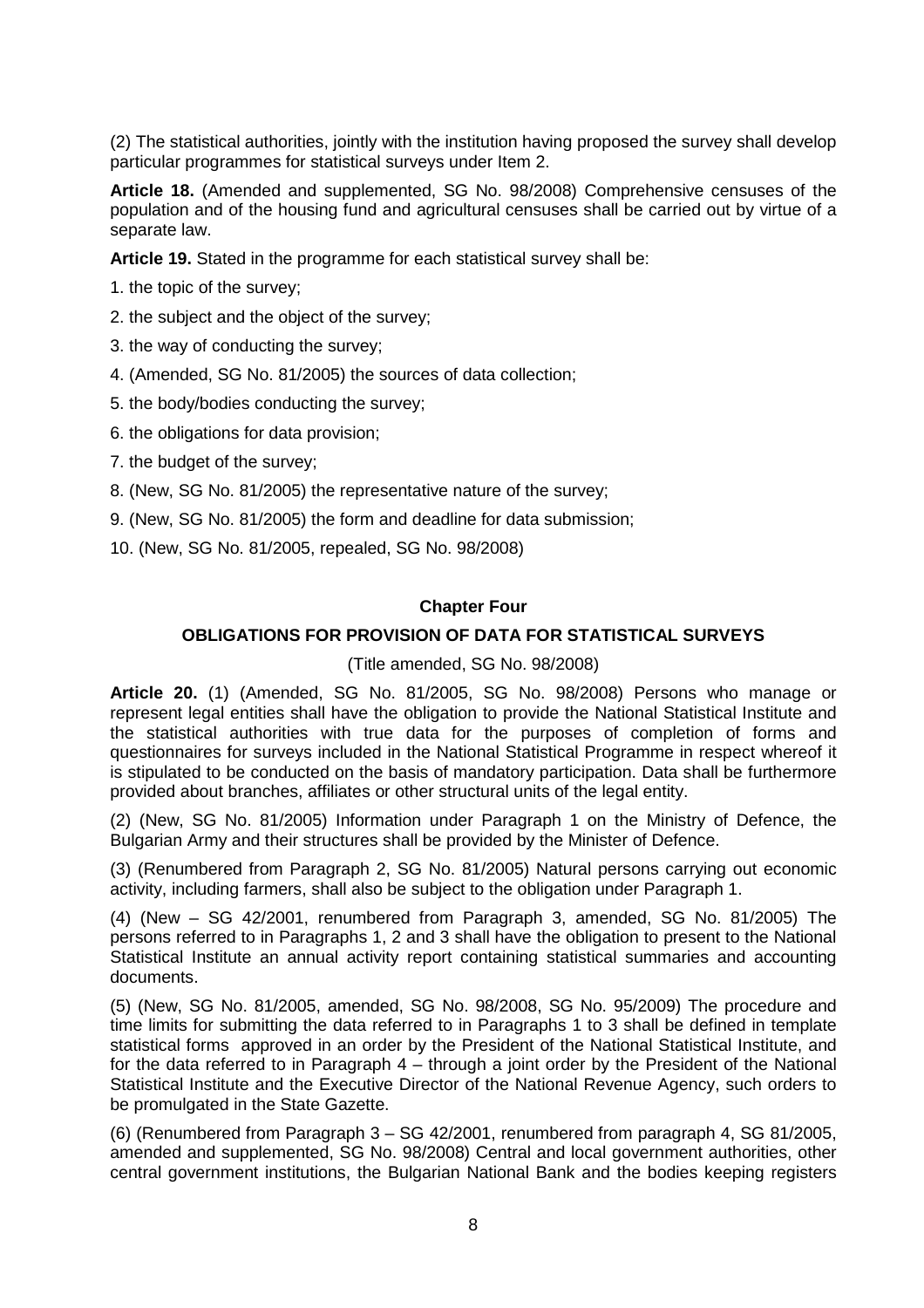(2) The statistical authorities, jointly with the institution having proposed the survey shall develop particular programmes for statistical surveys under Item 2.

**Article 18.** (Amended and supplemented, SG No. 98/2008) Comprehensive censuses of the population and of the housing fund and agricultural censuses shall be carried out by virtue of a separate law.

**Article 19.** Stated in the programme for each statistical survey shall be:

- 1. the topic of the survey;
- 2. the subject and the object of the survey;
- 3. the way of conducting the survey;
- 4. (Amended, SG No. 81/2005) the sources of data collection;
- 5. the body/bodies conducting the survey;
- 6. the obligations for data provision;
- 7. the budget of the survey;
- 8. (New, SG No. 81/2005) the representative nature of the survey;
- 9. (New, SG No. 81/2005) the form and deadline for data submission;
- 10. (New, SG No. 81/2005, repealed, SG No. 98/2008)

## **Chapter Four**

# **OBLIGATIONS FOR PROVISION OF DATA FOR STATISTICAL SURVEYS**

## (Title amended, SG No. 98/2008)

**Article 20.** (1) (Amended, SG No. 81/2005, SG No. 98/2008) Persons who manage or represent legal entities shall have the obligation to provide the National Statistical Institute and the statistical authorities with true data for the purposes of completion of forms and questionnaires for surveys included in the National Statistical Programme in respect whereof it is stipulated to be conducted on the basis of mandatory participation. Data shall be furthermore provided about branches, affiliates or other structural units of the legal entity.

(2) (New, SG No. 81/2005) Information under Paragraph 1 on the Ministry of Defence, the Bulgarian Army and their structures shall be provided by the Minister of Defence.

(3) (Renumbered from Paragraph 2, SG No. 81/2005) Natural persons carrying out economic activity, including farmers, shall also be subject to the obligation under Paragraph 1.

(4) (New – SG 42/2001, renumbered from Paragraph 3, amended, SG No. 81/2005) The persons referred to in Paragraphs 1, 2 and 3 shall have the obligation to present to the National Statistical Institute an annual activity report containing statistical summaries and accounting documents.

(5) (New, SG No. 81/2005, amended, SG No. 98/2008, SG No. 95/2009) The procedure and time limits for submitting the data referred to in Paragraphs 1 to 3 shall be defined in template statistical forms approved in an order by the President of the National Statistical Institute, and for the data referred to in Paragraph 4 – through a joint order by the President of the National Statistical Institute and the Executive Director of the National Revenue Agency, such orders to be promulgated in the State Gazette.

(6) (Renumbered from Paragraph 3 – SG 42/2001, renumbered from paragraph 4, SG 81/2005, amended and supplemented, SG No. 98/2008) Central and local government authorities, other central government institutions, the Bulgarian National Bank and the bodies keeping registers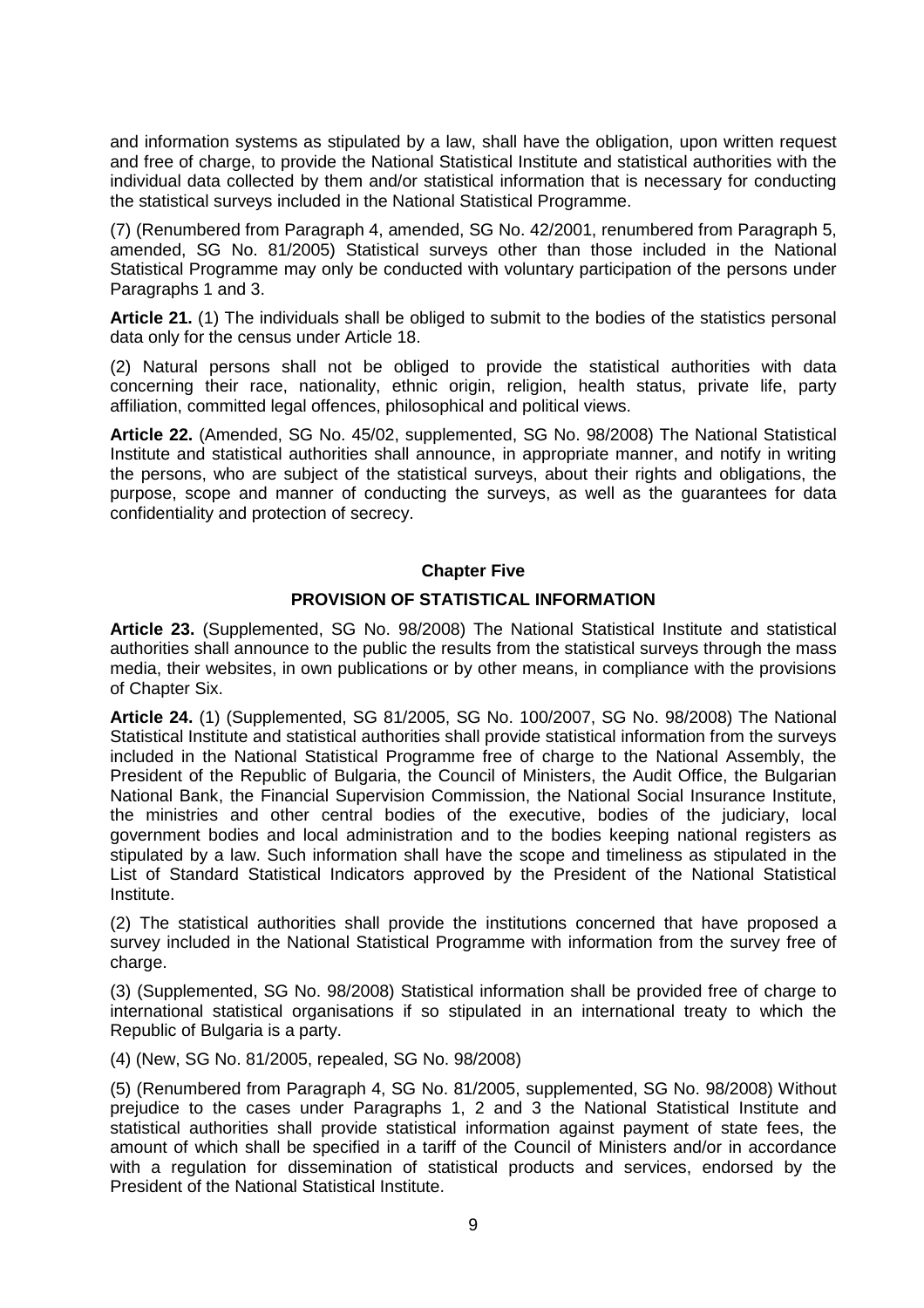and information systems as stipulated by a law, shall have the obligation, upon written request and free of charge, to provide the National Statistical Institute and statistical authorities with the individual data collected by them and/or statistical information that is necessary for conducting the statistical surveys included in the National Statistical Programme.

(7) (Renumbered from Paragraph 4, amended, SG No. 42/2001, renumbered from Paragraph 5, amended, SG No. 81/2005) Statistical surveys other than those included in the National Statistical Programme may only be conducted with voluntary participation of the persons under Paragraphs 1 and 3.

**Article 21.** (1) The individuals shall be obliged to submit to the bodies of the statistics personal data only for the census under Article 18.

(2) Natural persons shall not be obliged to provide the statistical authorities with data concerning their race, nationality, ethnic origin, religion, health status, private life, party affiliation, committed legal offences, philosophical and political views.

**Article 22.** (Amended, SG No. 45/02, supplemented, SG No. 98/2008) The National Statistical Institute and statistical authorities shall announce, in appropriate manner, and notify in writing the persons, who are subject of the statistical surveys, about their rights and obligations, the purpose, scope and manner of conducting the surveys, as well as the guarantees for data confidentiality and protection of secrecy.

# **Chapter Five**

# **PROVISION OF STATISTICAL INFORMATION**

**Article 23.** (Supplemented, SG No. 98/2008) The National Statistical Institute and statistical authorities shall announce to the public the results from the statistical surveys through the mass media, their websites, in own publications or by other means, in compliance with the provisions of Chapter Six.

**Article 24.** (1) (Supplemented, SG 81/2005, SG No. 100/2007, SG No. 98/2008) The National Statistical Institute and statistical authorities shall provide statistical information from the surveys included in the National Statistical Programme free of charge to the National Assembly, the President of the Republic of Bulgaria, the Council of Ministers, the Audit Office, the Bulgarian National Bank, the Financial Supervision Commission, the National Social Insurance Institute, the ministries and other central bodies of the executive, bodies of the judiciary, local government bodies and local administration and to the bodies keeping national registers as stipulated by a law. Such information shall have the scope and timeliness as stipulated in the List of Standard Statistical Indicators approved by the President of the National Statistical Institute.

(2) The statistical authorities shall provide the institutions concerned that have proposed a survey included in the National Statistical Programme with information from the survey free of charge.

(3) (Supplemented, SG No. 98/2008) Statistical information shall be provided free of charge to international statistical organisations if so stipulated in an international treaty to which the Republic of Bulgaria is a party.

(4) (New, SG No. 81/2005, repealed, SG No. 98/2008)

(5) (Renumbered from Paragraph 4, SG No. 81/2005, supplemented, SG No. 98/2008) Without prejudice to the cases under Paragraphs 1, 2 and 3 the National Statistical Institute and statistical authorities shall provide statistical information against payment of state fees, the amount of which shall be specified in a tariff of the Council of Ministers and/or in accordance with a regulation for dissemination of statistical products and services, endorsed by the President of the National Statistical Institute.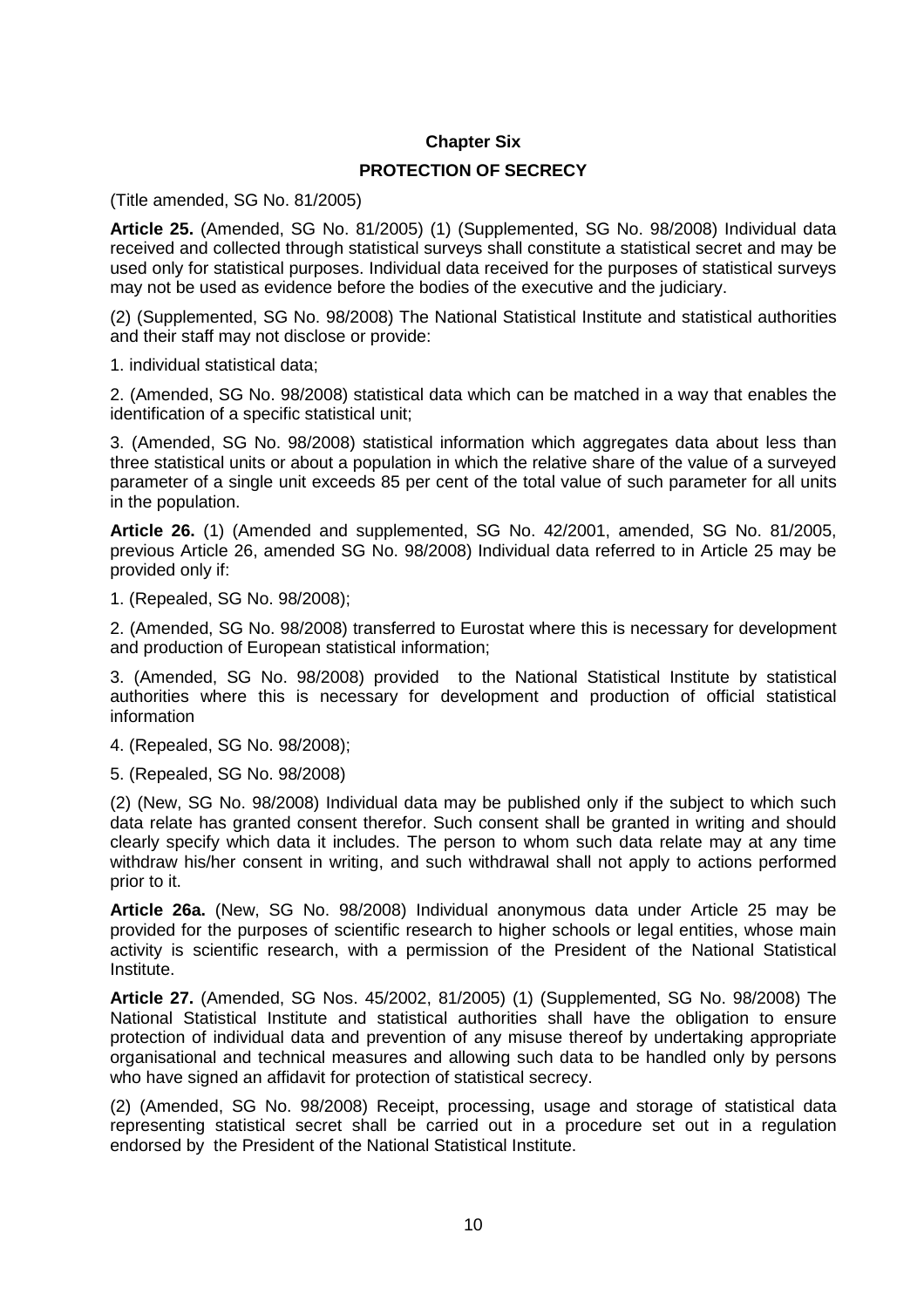# **Chapter Six**

## **PROTECTION OF SECRECY**

(Title amended, SG No. 81/2005)

**Article 25.** (Amended, SG No. 81/2005) (1) (Supplemented, SG No. 98/2008) Individual data received and collected through statistical surveys shall constitute a statistical secret and may be used only for statistical purposes. Individual data received for the purposes of statistical surveys may not be used as evidence before the bodies of the executive and the judiciary.

(2) (Supplemented, SG No. 98/2008) The National Statistical Institute and statistical authorities and their staff may not disclose or provide:

1. individual statistical data;

2. (Amended, SG No. 98/2008) statistical data which can be matched in a way that enables the identification of a specific statistical unit;

3. (Amended, SG No. 98/2008) statistical information which aggregates data about less than three statistical units or about a population in which the relative share of the value of a surveyed parameter of a single unit exceeds 85 per cent of the total value of such parameter for all units in the population.

**Article 26.** (1) (Amended and supplemented, SG No. 42/2001, amended, SG No. 81/2005, previous Article 26, amended SG No. 98/2008) Individual data referred to in Article 25 may be provided only if:

1. (Repealed, SG No. 98/2008);

2. (Amended, SG No. 98/2008) transferred to Eurostat where this is necessary for development and production of European statistical information;

3. (Amended, SG No. 98/2008) provided to the National Statistical Institute by statistical authorities where this is necessary for development and production of official statistical information

4. (Repealed, SG No. 98/2008);

5. (Repealed, SG No. 98/2008)

(2) (New, SG No. 98/2008) Individual data may be published only if the subject to which such data relate has granted consent therefor. Such consent shall be granted in writing and should clearly specify which data it includes. The person to whom such data relate may at any time withdraw his/her consent in writing, and such withdrawal shall not apply to actions performed prior to it.

**Article 26a.** (New, SG No. 98/2008) Individual anonymous data under Article 25 may be provided for the purposes of scientific research to higher schools or legal entities, whose main activity is scientific research, with a permission of the President of the National Statistical Institute.

**Article 27.** (Amended, SG Nos. 45/2002, 81/2005) (1) (Supplemented, SG No. 98/2008) The National Statistical Institute and statistical authorities shall have the obligation to ensure protection of individual data and prevention of any misuse thereof by undertaking appropriate organisational and technical measures and allowing such data to be handled only by persons who have signed an affidavit for protection of statistical secrecy.

(2) (Amended, SG No. 98/2008) Receipt, processing, usage and storage of statistical data representing statistical secret shall be carried out in a procedure set out in a regulation endorsed by the President of the National Statistical Institute.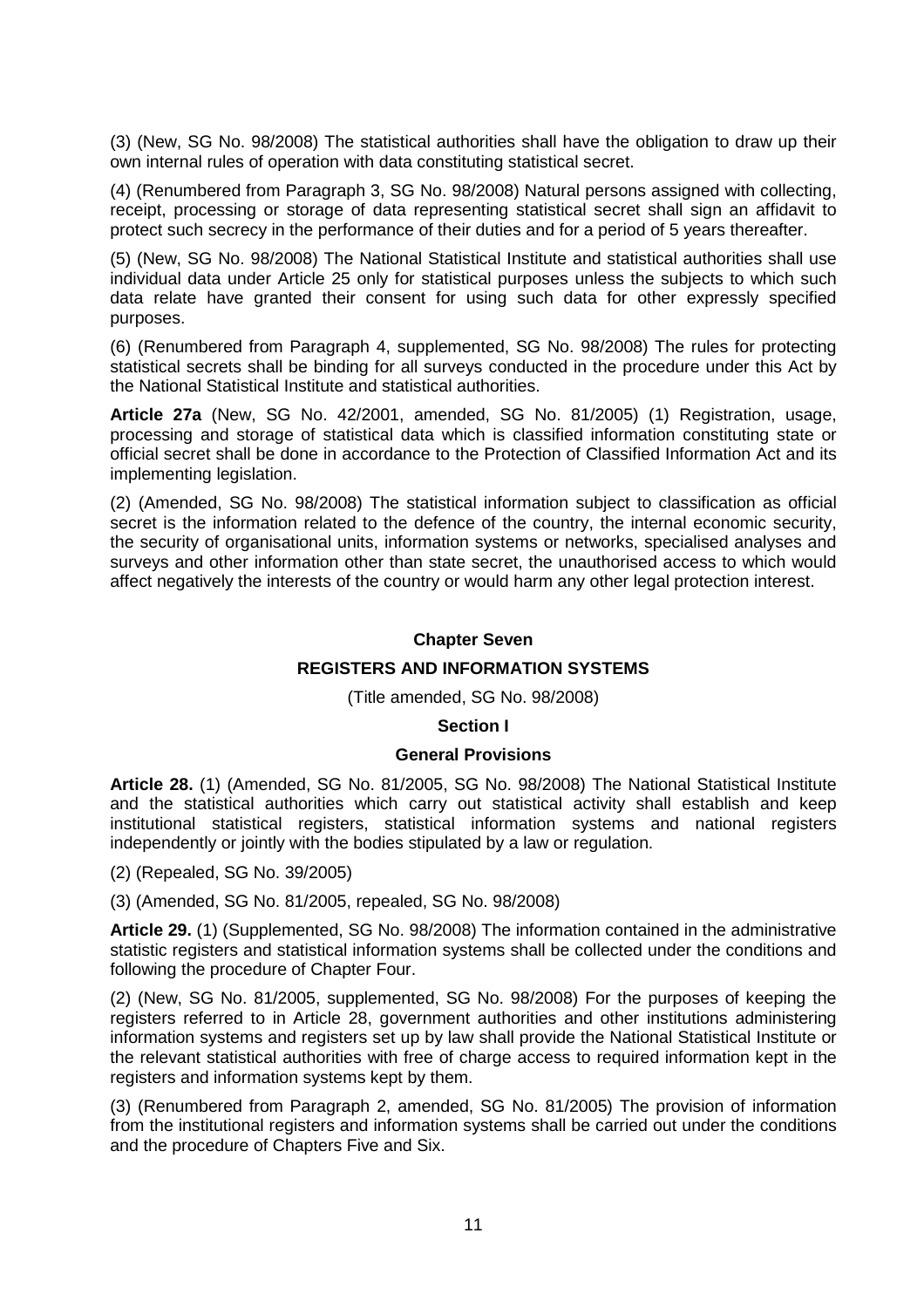(3) (New, SG No. 98/2008) The statistical authorities shall have the obligation to draw up their own internal rules of operation with data constituting statistical secret.

(4) (Renumbered from Paragraph 3, SG No. 98/2008) Natural persons assigned with collecting, receipt, processing or storage of data representing statistical secret shall sign an affidavit to protect such secrecy in the performance of their duties and for a period of 5 years thereafter.

(5) (New, SG No. 98/2008) The National Statistical Institute and statistical authorities shall use individual data under Article 25 only for statistical purposes unless the subjects to which such data relate have granted their consent for using such data for other expressly specified purposes.

(6) (Renumbered from Paragraph 4, supplemented, SG No. 98/2008) The rules for protecting statistical secrets shall be binding for all surveys conducted in the procedure under this Act by the National Statistical Institute and statistical authorities.

**Article 27a** (New, SG No. 42/2001, amended, SG No. 81/2005) (1) Registration, usage, processing and storage of statistical data which is classified information constituting state or official secret shall be done in accordance to the Protection of Classified Information Act and its implementing legislation.

(2) (Amended, SG No. 98/2008) The statistical information subject to classification as official secret is the information related to the defence of the country, the internal economic security, the security of organisational units, information systems or networks, specialised analyses and surveys and other information other than state secret, the unauthorised access to which would affect negatively the interests of the country or would harm any other legal protection interest.

## **Chapter Seven**

# **REGISTERS AND INFORMATION SYSTEMS**

## (Title amended, SG No. 98/2008)

## **Section I**

## **General Provisions**

**Article 28.** (1) (Amended, SG No. 81/2005, SG No. 98/2008) The National Statistical Institute and the statistical authorities which carry out statistical activity shall establish and keep institutional statistical registers, statistical information systems and national registers independently or jointly with the bodies stipulated by a law or regulation.

(2) (Repealed, SG No. 39/2005)

(3) (Amended, SG No. 81/2005, repealed, SG No. 98/2008)

**Article 29.** (1) (Supplemented, SG No. 98/2008) The information contained in the administrative statistic registers and statistical information systems shall be collected under the conditions and following the procedure of Chapter Four.

(2) (New, SG No. 81/2005, supplemented, SG No. 98/2008) For the purposes of keeping the registers referred to in Article 28, government authorities and other institutions administering information systems and registers set up by law shall provide the National Statistical Institute or the relevant statistical authorities with free of charge access to required information kept in the registers and information systems kept by them.

(3) (Renumbered from Paragraph 2, amended, SG No. 81/2005) The provision of information from the institutional registers and information systems shall be carried out under the conditions and the procedure of Chapters Five and Six.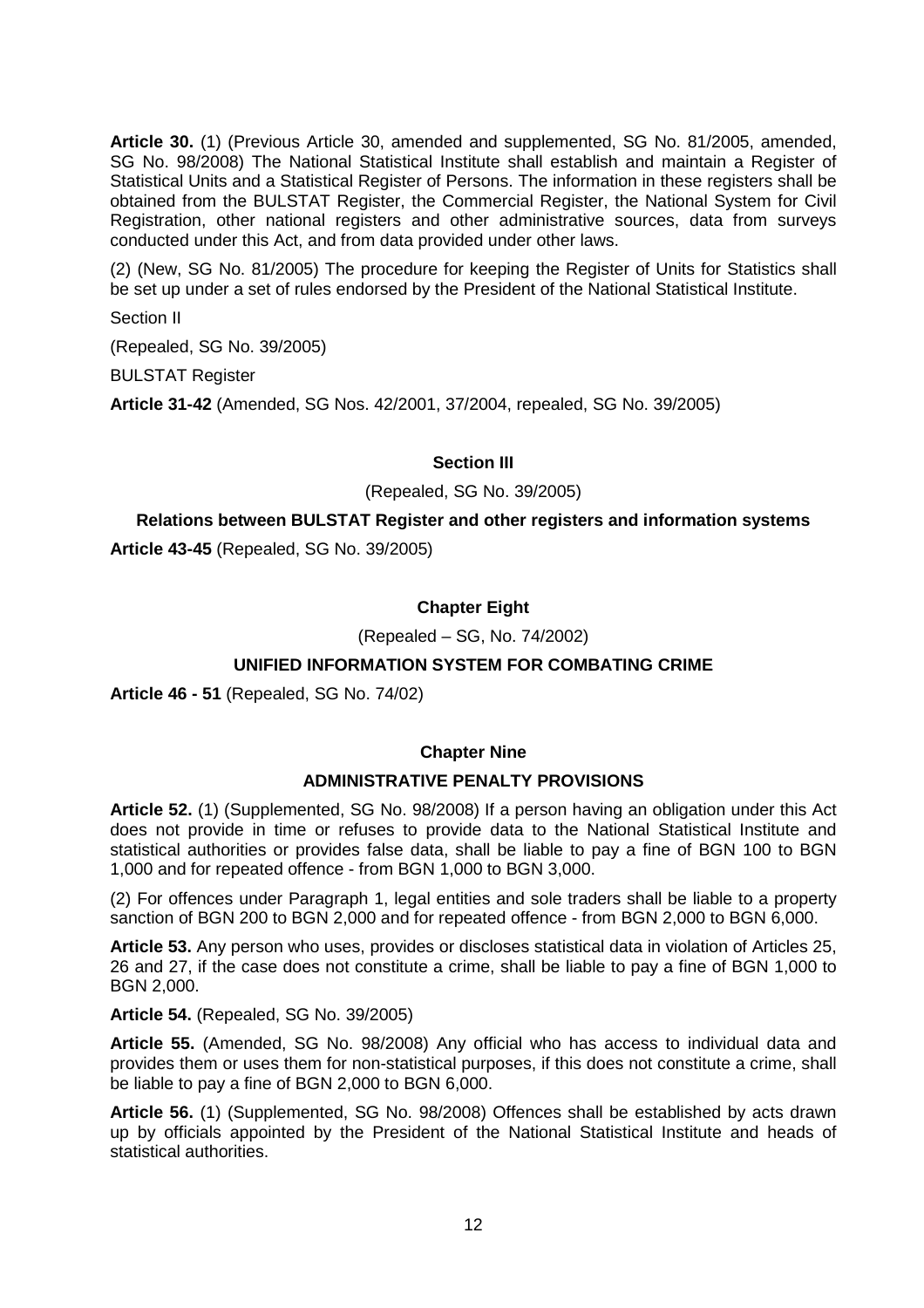**Article 30.** (1) (Previous Article 30, amended and supplemented, SG No. 81/2005, amended, SG No. 98/2008) The National Statistical Institute shall establish and maintain a Register of Statistical Units and a Statistical Register of Persons. The information in these registers shall be obtained from the BULSTAT Register, the Commercial Register, the National System for Civil Registration, other national registers and other administrative sources, data from surveys conducted under this Act, and from data provided under other laws.

(2) (New, SG No. 81/2005) The procedure for keeping the Register of Units for Statistics shall be set up under a set of rules endorsed by the President of the National Statistical Institute.

Section II

(Repealed, SG No. 39/2005)

BULSTAT Register

**Article 31-42** (Amended, SG Nos. 42/2001, 37/2004, repealed, SG No. 39/2005)

## **Section III**

(Repealed, SG No. 39/2005)

# **Relations between BULSTAT Register and other registers and information systems**

**Article 43-45** (Repealed, SG No. 39/2005)

# **Chapter Eight**

(Repealed – SG, No. 74/2002)

# **UNIFIED INFORMATION SYSTEM FOR COMBATING CRIME**

**Article 46 - 51** (Repealed, SG No. 74/02)

## **Chapter Nine**

## **ADMINISTRATIVE PENALTY PROVISIONS**

**Article 52.** (1) (Supplemented, SG No. 98/2008) If a person having an obligation under this Act does not provide in time or refuses to provide data to the National Statistical Institute and statistical authorities or provides false data, shall be liable to pay a fine of BGN 100 to BGN 1,000 and for repeated offence - from BGN 1,000 to BGN 3,000.

(2) For offences under Paragraph 1, legal entities and sole traders shall be liable to a property sanction of BGN 200 to BGN 2,000 and for repeated offence - from BGN 2,000 to BGN 6,000.

**Article 53.** Any person who uses, provides or discloses statistical data in violation of Articles 25, 26 and 27, if the case does not constitute a crime, shall be liable to pay a fine of BGN 1,000 to BGN 2,000.

**Article 54.** (Repealed, SG No. 39/2005)

**Article 55.** (Amended, SG No. 98/2008) Any official who has access to individual data and provides them or uses them for non-statistical purposes, if this does not constitute a crime, shall be liable to pay a fine of BGN 2,000 to BGN 6,000.

**Article 56.** (1) (Supplemented, SG No. 98/2008) Offences shall be established by acts drawn up by officials appointed by the President of the National Statistical Institute and heads of statistical authorities.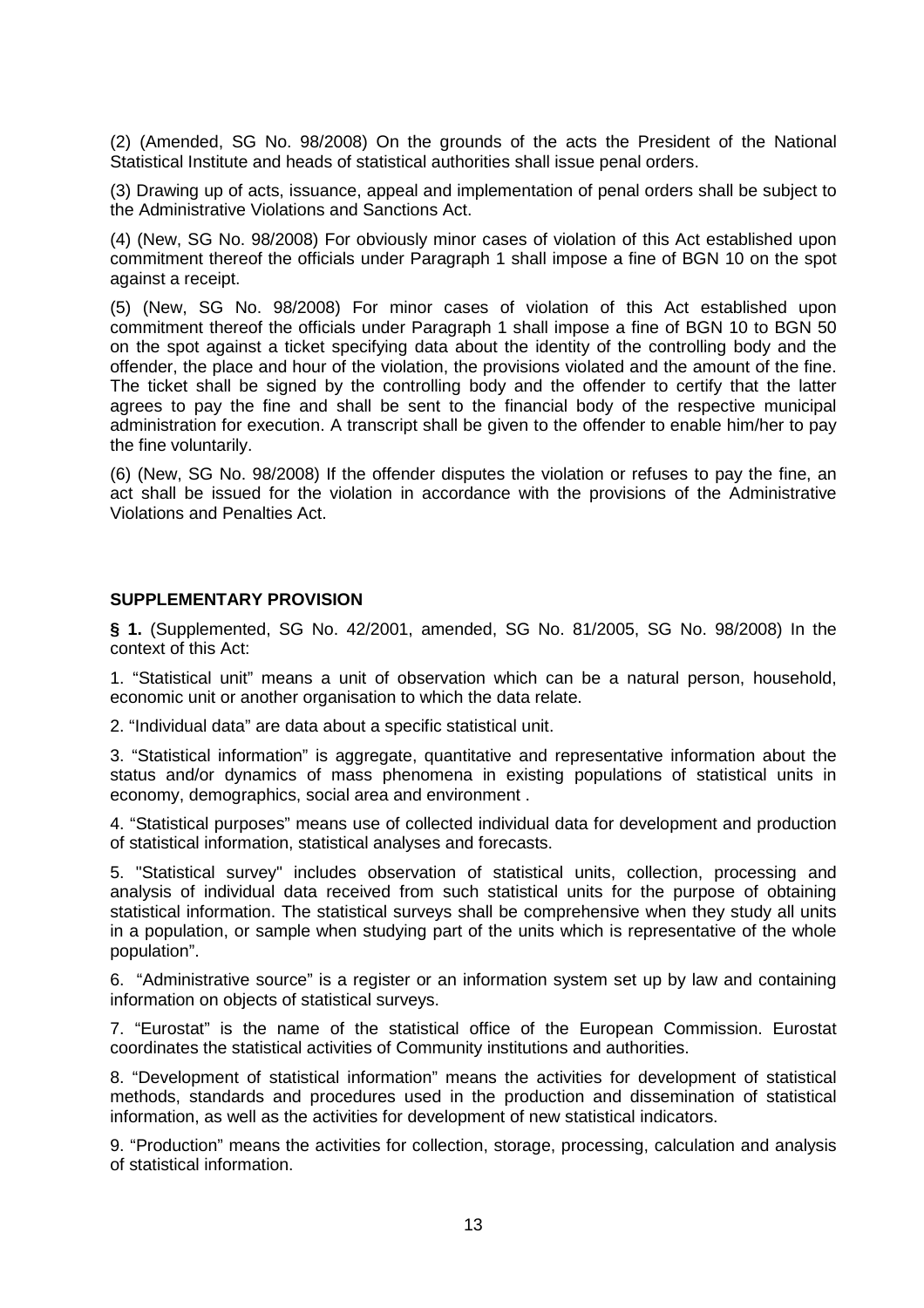(2) (Amended, SG No. 98/2008) On the grounds of the acts the President of the National Statistical Institute and heads of statistical authorities shall issue penal orders.

(3) Drawing up of acts, issuance, appeal and implementation of penal orders shall be subject to the Administrative Violations and Sanctions Act.

(4) (New, SG No. 98/2008) For obviously minor cases of violation of this Act established upon commitment thereof the officials under Paragraph 1 shall impose a fine of BGN 10 on the spot against a receipt.

(5) (New, SG No. 98/2008) For minor cases of violation of this Act established upon commitment thereof the officials under Paragraph 1 shall impose a fine of BGN 10 to BGN 50 on the spot against a ticket specifying data about the identity of the controlling body and the offender, the place and hour of the violation, the provisions violated and the amount of the fine. The ticket shall be signed by the controlling body and the offender to certify that the latter agrees to pay the fine and shall be sent to the financial body of the respective municipal administration for execution. A transcript shall be given to the offender to enable him/her to pay the fine voluntarily.

(6) (New, SG No. 98/2008) If the offender disputes the violation or refuses to pay the fine, an act shall be issued for the violation in accordance with the provisions of the Administrative Violations and Penalties Act.

## **SUPPLEMENTARY PROVISION**

**§ 1.** (Supplemented, SG No. 42/2001, amended, SG No. 81/2005, SG No. 98/2008) In the context of this Act:

1. "Statistical unit" means a unit of observation which can be a natural person, household, economic unit or another organisation to which the data relate.

2. "Individual data" are data about a specific statistical unit.

3. "Statistical information" is aggregate, quantitative and representative information about the status and/or dynamics of mass phenomena in existing populations of statistical units in economy, demographics, social area and environment .

4. "Statistical purposes" means use of collected individual data for development and production of statistical information, statistical analyses and forecasts.

5. "Statistical survey" includes observation of statistical units, collection, processing and analysis of individual data received from such statistical units for the purpose of obtaining statistical information. The statistical surveys shall be comprehensive when they study all units in a population, or sample when studying part of the units which is representative of the whole population".

6. "Administrative source" is a register or an information system set up by law and containing information on objects of statistical surveys.

7. "Eurostat" is the name of the statistical office of the European Commission. Eurostat coordinates the statistical activities of Community institutions and authorities.

8. "Development of statistical information" means the activities for development of statistical methods, standards and procedures used in the production and dissemination of statistical information, as well as the activities for development of new statistical indicators.

9. "Production" means the activities for collection, storage, processing, calculation and analysis of statistical information.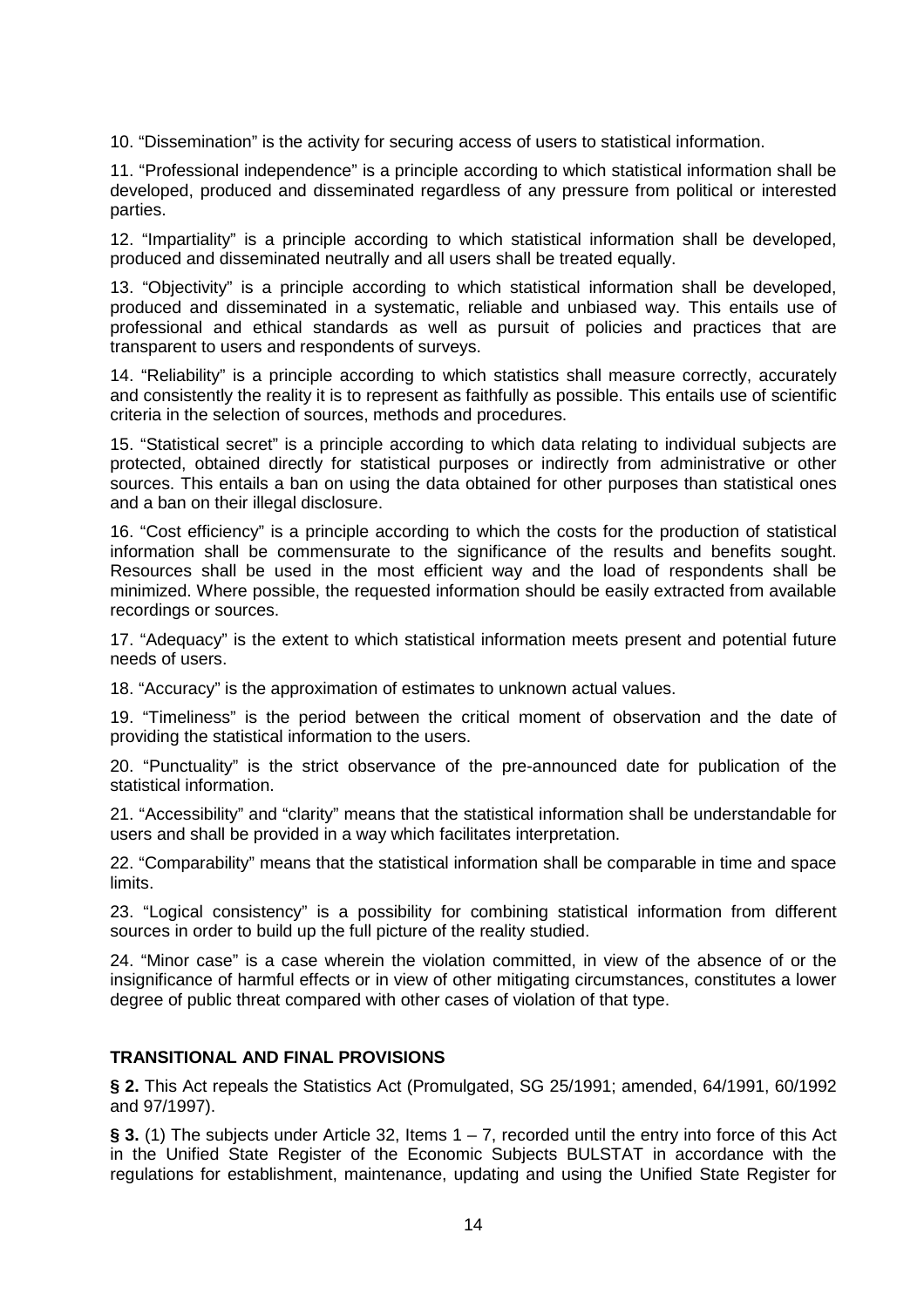10. "Dissemination" is the activity for securing access of users to statistical information.

11. "Professional independence" is a principle according to which statistical information shall be developed, produced and disseminated regardless of any pressure from political or interested parties.

12. "Impartiality" is a principle according to which statistical information shall be developed, produced and disseminated neutrally and all users shall be treated equally.

13. "Objectivity" is a principle according to which statistical information shall be developed, produced and disseminated in a systematic, reliable and unbiased way. This entails use of professional and ethical standards as well as pursuit of policies and practices that are transparent to users and respondents of surveys.

14. "Reliability" is a principle according to which statistics shall measure correctly, accurately and consistently the reality it is to represent as faithfully as possible. This entails use of scientific criteria in the selection of sources, methods and procedures.

15. "Statistical secret" is a principle according to which data relating to individual subjects are protected, obtained directly for statistical purposes or indirectly from administrative or other sources. This entails a ban on using the data obtained for other purposes than statistical ones and a ban on their illegal disclosure.

16. "Cost efficiency" is a principle according to which the costs for the production of statistical information shall be commensurate to the significance of the results and benefits sought. Resources shall be used in the most efficient way and the load of respondents shall be minimized. Where possible, the requested information should be easily extracted from available recordings or sources.

17. "Adequacy" is the extent to which statistical information meets present and potential future needs of users.

18. "Accuracy" is the approximation of estimates to unknown actual values.

19. "Timeliness" is the period between the critical moment of observation and the date of providing the statistical information to the users.

20. "Punctuality" is the strict observance of the pre-announced date for publication of the statistical information.

21. "Accessibility" and "clarity" means that the statistical information shall be understandable for users and shall be provided in a way which facilitates interpretation.

22. "Comparability" means that the statistical information shall be comparable in time and space limits.

23. "Logical consistency" is a possibility for combining statistical information from different sources in order to build up the full picture of the reality studied.

24. "Minor case" is a case wherein the violation committed, in view of the absence of or the insignificance of harmful effects or in view of other mitigating circumstances, constitutes a lower degree of public threat compared with other cases of violation of that type.

# **TRANSITIONAL AND FINAL PROVISIONS**

**§ 2.** This Act repeals the Statistics Act (Promulgated, SG 25/1991; amended, 64/1991, 60/1992 and 97/1997).

**§ 3.** (1) The subjects under Article 32, Items  $1 - 7$ , recorded until the entry into force of this Act in the Unified State Register of the Economic Subjects BULSTAT in accordance with the regulations for establishment, maintenance, updating and using the Unified State Register for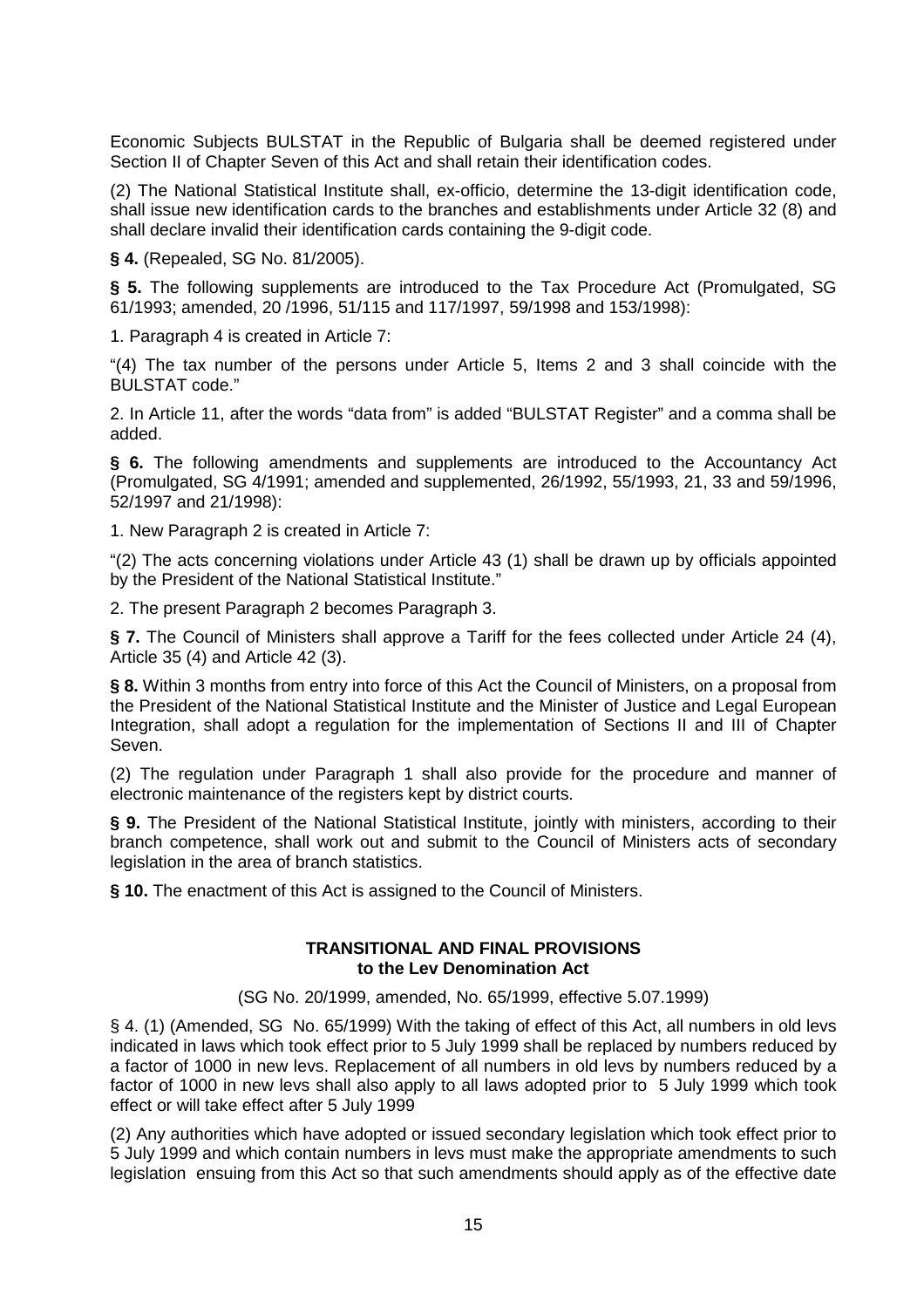Economic Subjects BULSTAT in the Republic of Bulgaria shall be deemed registered under Section II of Chapter Seven of this Act and shall retain their identification codes.

(2) The National Statistical Institute shall, ex-officio, determine the 13-digit identification code, shall issue new identification cards to the branches and establishments under Article 32 (8) and shall declare invalid their identification cards containing the 9-digit code.

**§ 4.** (Repealed, SG No. 81/2005).

**§ 5.** The following supplements are introduced to the Tax Procedure Act (Promulgated, SG 61/1993; amended, 20 /1996, 51/115 and 117/1997, 59/1998 and 153/1998):

1. Paragraph 4 is created in Article 7:

"(4) The tax number of the persons under Article 5, Items 2 and 3 shall coincide with the BULSTAT code."

2. In Article 11, after the words "data from" is added "BULSTAT Register" and a comma shall be added.

**§ 6.** The following amendments and supplements are introduced to the Accountancy Act (Promulgated, SG 4/1991; amended and supplemented, 26/1992, 55/1993, 21, 33 and 59/1996, 52/1997 and 21/1998):

1. New Paragraph 2 is created in Article 7:

"(2) The acts concerning violations under Article 43 (1) shall be drawn up by officials appointed by the President of the National Statistical Institute."

2. The present Paragraph 2 becomes Paragraph 3.

**§ 7.** The Council of Ministers shall approve a Tariff for the fees collected under Article 24 (4), Article 35 (4) and Article 42 (3).

**§ 8.** Within 3 months from entry into force of this Act the Council of Ministers, on a proposal from the President of the National Statistical Institute and the Minister of Justice and Legal European Integration, shall adopt a regulation for the implementation of Sections II and III of Chapter Seven.

(2) The regulation under Paragraph 1 shall also provide for the procedure and manner of electronic maintenance of the registers kept by district courts.

**§ 9.** The President of the National Statistical Institute, jointly with ministers, according to their branch competence, shall work out and submit to the Council of Ministers acts of secondary legislation in the area of branch statistics.

**§ 10.** The enactment of this Act is assigned to the Council of Ministers.

## **TRANSITIONAL AND FINAL PROVISIONS to the Lev Denomination Act**

(SG No. 20/1999, amended, No. 65/1999, effective 5.07.1999)

§ 4. (1) (Amended, SG No. 65/1999) With the taking of effect of this Act, all numbers in old levs indicated in laws which took effect prior to 5 July 1999 shall be replaced by numbers reduced by a factor of 1000 in new levs. Replacement of all numbers in old levs by numbers reduced by a factor of 1000 in new levs shall also apply to all laws adopted prior to 5 July 1999 which took effect or will take effect after 5 July 1999

(2) Any authorities which have adopted or issued secondary legislation which took effect prior to 5 July 1999 and which contain numbers in levs must make the appropriate amendments to such legislation ensuing from this Act so that such amendments should apply as of the effective date